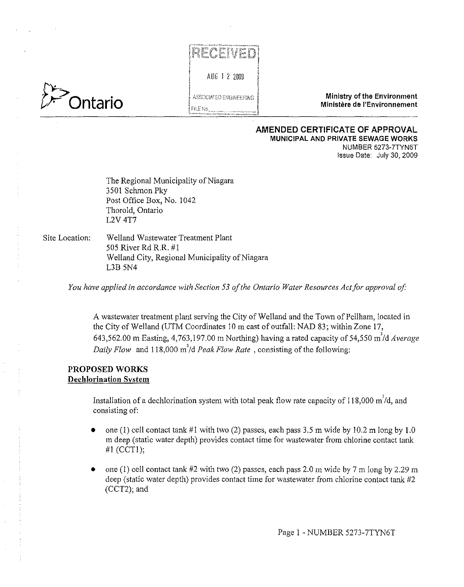



**Ministry of the Environment de Transferior (State of the Environment Ministry of the Environment Algorithment in Ministere de l'Environmement in Ministry of the Environment in Ministry of the Environment in Ministere de l** 

#### **AMENDED CERTIFICATE OF APPROVAL MUNICIPAL AND PRIVATE SEWAGE WORKS**  NUMBER 5273-7TYN6T Issue Date: July 30, 2009

The Regional Municipality of Niagara 3501 Schmon Pky Post Office Box, No. 1042 Thorold, Ontario L2V 4T7

Site Location: Welland Wastewater Treatment Plant 505 River Rd R.R. #1 Welland City, Regional Municipality of Niagara L3B 5N4

You have applied in accordance with Section 53 of the Ontario Water Resources Act for approval of:

A wastewater treatment plant serving the City of Welland and the Town of Pellham, located in the City of Welland (UTM Coordinates IO m east of outfall: NAD 83; within Zone I7, 643,562.00 m Easting, 4,763,197.00 m Northing) having a rated capacity of 54,550 m<sup>3</sup>/d Average *Daily Flow* and 118,000 m'/d *Peak Flow Rate* , consisting of the following:

### **PROPOSED WORKS Dechlorination System**

Installation of a dechlorination system with total peak flow rate capacity of 118,000 m<sup>7</sup>/d, and consisting of:

- one (1) cell contact tank  $#1$  with two (2) passes, each pass 3.5 m wide by 10.2 m long by 1.0 m deep (static water depth) provides contact time for wastewater from chlorine contact tank **#1** (CCTl);
- one (1) cell contact tank  $#2$  with two (2) passes, each pass 2.0 m wide by 7 m long by 2.29 m deep (static water depth) provides contact time for wastewater from chlorine contact tank #2 (CCT2); and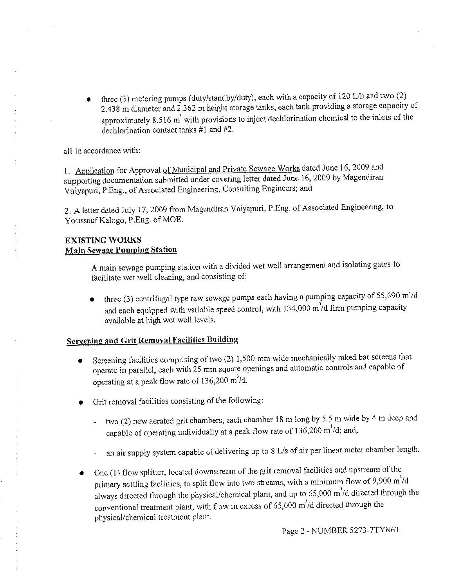• three (3) metering pumps (duty/standby/duty), each with a capacity of 120 L/h and two (2) 2.438 m diameter and 2.362 m height storage tanks, each tank providing a storage capacity of approximately 8.516 m' with provisions to inject dechlorination chemical to the inlets of the dechlorination contact tanks #1 and #2.

all in accordance with:

1. Application for Approval of Municipal and Private Sewage Works dated June 16, 2009 and supporting documentation submitted under covering letter dated June 16, 2009 by Magendiran Vaiyapuri, P.Eng., of Associated Engineering, Consulting Engineers; and

2. A letter dated July 17, 2009 from Magendiran Vaiyapuri, P.Eng. of Associated Engineering, to Youssouf Kalogo, P.Eng. of MOE.

# **EXISTING WORKS Main Sewage Pumping Station**

A main sewage pumping station with a divided wet well arrangement and isolating gates to facilitate wet well cleaning, and consisting of:

 $\bullet$  three (3) centrifugal type raw sewage pumps each having a pumping capacity of 55,690 m'/d and each equipped with variable speed control, with  $134,000$  m $\dot{d}$  firm pumping capacity available at high wet well levels.

# **Screening and Grit Removal Facilities Building**

- Screening facilities comprising of two (2) 1,500 mm wide mechanically raked bar screens that operate in parallel, each with 25 mm square openings and automatic controls and capable of operating at a peak flow rate of 136,200 m'ld.
- Grit removal facilities consisting of the following:
	- two (2) new aerated grit chambers, each chamber 18 m long by 5.5 m wide by 4 m deep and capable of operating individually at a peak flow rate of  $136,200$  m<sup>3</sup>/d; and,
	- an air supply system capable of delivering up to 8 L/s of air per linear meter chamber length.  $\blacksquare$
- One (1) flow splitter, located downstream of the grit removal facilities and upstream of the primary settling facilities, to split flow into two streams, with a minimum flow of 9,900  $m/d$ always directed through the physical/chemical plant, and up to 65,000 m<sup>3</sup>/d directed through the conventional treatment plant, with flow in excess of  $65,000$  m<sup>3</sup>/d directed through the physical/chemical treatment plant.

Page 2 - NUMBER 5273-7TYN6T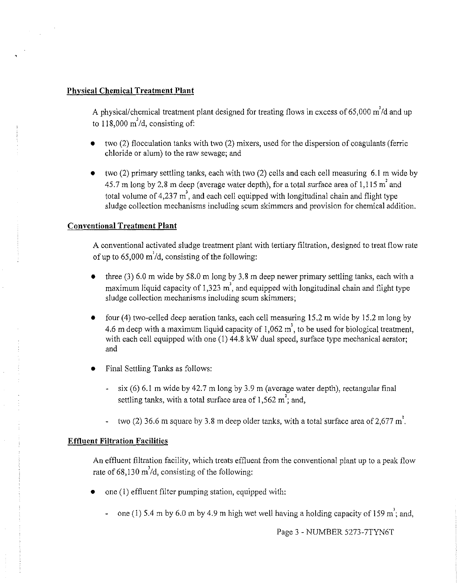### **Physical Chemical Treatment Plant**

A physical/chemical treatment plant designed for treating flows in excess of 65,000  $\text{m}^3/\text{d}$  and up to  $118,000 \text{ m}^3$ /d, consisting of:

- two (2) flocculation tanks with two (2) mixers, used for the dispersion of coagulants (ferric chloride or alum) to the raw sewage; and
- two  $(2)$  primary settling tanks, each with two  $(2)$  cells and each cell measuring 6.1 m wide by 45.7 m long by 2.8 m deep (average water depth), for a total surface area of 1,115  $m^2$  and total volume of 4,237  $m<sup>3</sup>$ , and each cell equipped with longitudinal chain and flight type sludge collection mechanisms including scum skimmers and provision for chemical addition.

# **Conventional Treatment Plant**

A conventional activated sludge treatment plant with tertiary filtration, designed to treat flow rate of up to 65,000 m<sup>'</sup>/d, consisting of the following:

- three  $(3)$  6.0 m wide by 58.0 m long by 3.8 m deep newer primary settling tanks, each with a maximum liquid capacity of 1,323  $m<sup>3</sup>$ , and equipped with longitudinal chain and flight type sludge collection mechanisms including scum skimmers;
- four (4) two-celled deep aeration tanks, each cell measuring 15.2 m wide by 15.2 m long by 4.6 m deep with a maximum liquid capacity of 1,062  $m<sup>3</sup>$ , to be used for biological treatment, with each cell equipped with one (1) 44.8 kW dual speed, surface type mechanical aerator; and
- Final Settling Tanks as follows:
	- six (6) 6.1 m wide by 42.7 m long by 3.9 m (average water depth), rectangular final settling tanks, with a total surface area of  $1,562 \text{ m}^2$ ; and,
	- two (2) 36.6 m square by 3.8 m deep older tanks, with a total surface area of 2.677 m<sup>2</sup>.

# **Effluent Filtration Facilities**

An effluent filtration facility, which treats effluent from the conventional plant up to a peak flow rate of 68,130 *m'ld,* consisting of the following:

- one  $(1)$  effluent filter pumping station, equipped with:
	- one (1) 5.4 m by 6.0 m by 4.9 m high wet well having a holding capacity of 159 m<sup>3</sup>; and,

Page 3 - NUMBER 5273-7TYN6T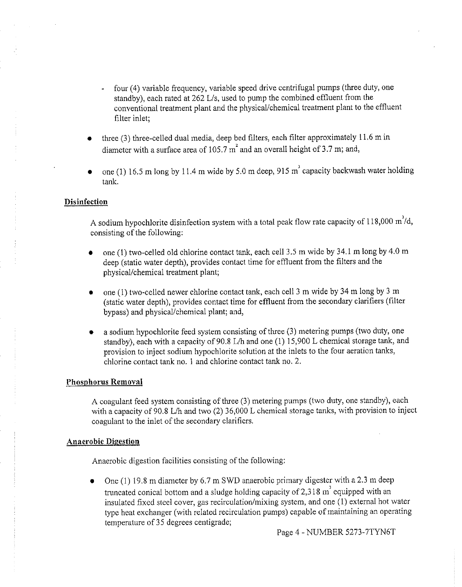- four (4) variable frequency, variable speed drive centrifugal pumps (three duty, one L. standby), each rated at 262 L/s, used to pump the combined effluent from the conventional treatment plant and the physical/chemical treatment plant to the effluent filter inlet;
- three  $(3)$  three-celled dual media, deep bed filters, each filter approximately 11.6 m in diameter with a surface area of 105.7 m' and an overall height of 3.7 m; and,
- one (1) 16.5 m long by 11.4 m wide by 5.0 m deep, 915 m' capacity backwash water holding tank.

#### **Disinfection**

A sodium hypochlorite disinfection system with a total peak flow rate capacity of 118,000 m'/d, consisting of the following:

- one (1) two-celled old chlorine contact tank, each cell  $3.5$  m wide by  $34.1$  m long by  $4.0$  m deep (static water depth), provides contact time for effluent from the filters and the physical/chemical treatment plant;
- one (1) two-celled newer chlorine contact tank, each cell 3 m wide by 34 m long by 3 m (static water depth), provides contact time for effluent from the secondary clarifiers (filter bypass) and physical/chemical plant; and,
- $\bullet$  a sodium hypochlorite feed system consisting of three (3) metering pumps (two duty, one standby), each with a capacity of 90.8 L/h and one (1) 15,900 L chemical storage tank, and provision to inject sodium hypochlorite solution at the inlets to the four aeration tanks, chlorine contact tank no. 1 and chlorine contact tank no. 2.

#### **Phosphorus Removal**

A coagulant feed system consisting of three (3) metering pumps (two duty, one standby), each with a capacity of 90.8 L/h and two (2) 36,000 L chemical storage tanks, with provision to inject coagulant to the inlet of the secondary clarifiers.

#### **Anaerobic Digestion**

Anaerobic digestion facilities consisting of the following:

One (1) 19.8 m diameter by  $6.7 \text{ m }$  SWD anaerobic primary digester with a 2.3 m deep truncated conical bottom and a sludge holding capacity of 2,318  $m<sup>3</sup>$  equipped with an insulated fixed steel cover, gas recirculation/mixing system, and one (I) external hot water type heat exchanger (with related recirculation pumps) capable of maintaining an operating temperature of35 degrees centigrade;

Page 4 - NUMBER 5273-7TYN6T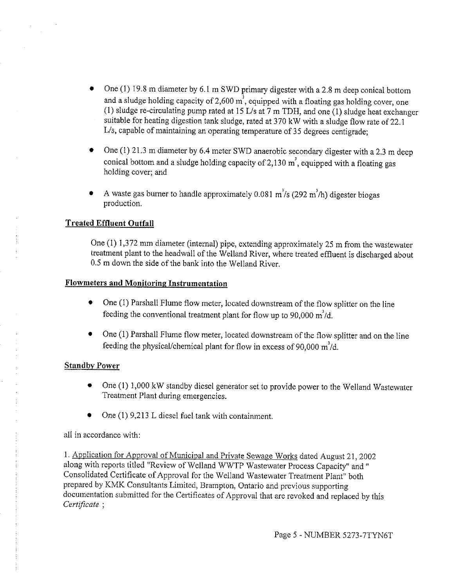- One (I) 19.8 m diameter by 6.1 m SWD primary digester with a 2.8 m deep conical bottom and a sludge holding capacity of 2,600  $\text{m}^3$ , equipped with a floating gas holding cover, one (1) sludge re-circulating pump rated at 15 L/s at 7 m TDH, and one (1) sludge heat exchanger suitable for heating digestion tank sludge, rated at 370 kW with a sludge flow rate of 22.1 L/s, capable of maintaining an operating temperature of 35 degrees centigrade;
- One (I) 21.3 m diameter by 6.4 meter SWD anaerobic secondary digester with a 2.3 m deep conical bottom and a sludge holding capacity of  $2,130 \text{ m}^3$ , equipped with a floating gas holding cover; and
- A waste gas burner to handle approximately 0.081 *m'!s* (292 m'/h) digester biogas production.

# **Treated Effluent Outfall**

One (1) 1,372 mm diameter (internal) pipe, extending approximately 25 m from the wastewater treatment plant to the headwall of the Welland River, where treated effluent is discharged about 0.5 m down the side of the bank into the Welland River.

# **Flowmeters and Monitoring Instrumentation**

- One (1) Parshall Flume flow meter, located downstream of the flow splitter on the line feeding the conventional treatment plant for flow up to 90,000  $m^{3}/d$ .
- $\bullet$  One (1) Parshall Flume flow meter, located downstream of the flow splitter and on the line feeding the physical/chemical plant for flow in excess of 90,000 m'/d.

# **Standby Power**

- One (1) 1,000 kW standby diesel generator set to provide power to the Welland Wastewater Treatment Plant during emergencies.
- One  $(1)$  9,213 L diesel fuel tank with containment.

# all in accordance with:

I. Application for Approval of Municipal and Private Sewage Works dated August 21, 2002 along with reports titled "Review of Welland WWTP Wastewater Process Capacity" and" Consolidated Certificate of Approval for the Welland Wastewater Treatment Plant" both prepared by KMK Consultants Limited, Brampton, Ontario and previous supporting documentation submitted for the Certificates of Approval that are revoked and replaced by this *Certificate* ;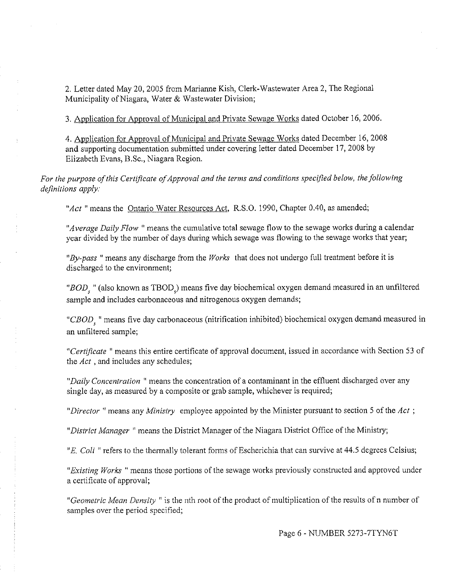2. Letter dated May 20, 2005 from Marianne Kish, Clerk-Wastewater Area 2, The Regional Municipality of Niagara, Water & Wastewater Division;

3. Application for Approval of Municipal and Private Sewage Works dated October 16, 2006.

4. Application for Approval of Municipal and Private Sewage Works dated December 16, 2008 and supporting documentation submitted under covering letter dated December 17, 2008 by Elizabeth Evans, B.Sc., Niagara Region.

For the purpose of this Certificate of Approval and the terms and conditions specified below, the following  $definitions apply:$ 

*"Act* "means the Ontario Water Resources Act, R.S.O. 1990, Chapter 0.40, as amended;

*"Average Daily Flow* "means the cumulative total sewage flow to the sewage works during a calendar year divided by the number of days during which sewage was flowing to the sewage works that year;

*"By-pass* "means any discharge from the *Works* that does not undergo full treatment before it is discharged to the environment;

*"BOD,* "(also known as TBOD,) means five day biochemical oxygen demand measured in an unfiltered sample and includes carbonaceous and nitrogenous oxygen demands;

*"CBOD* " means five day carbonaceous (nitrification inhibited) biochemical oxygen demand measured in an unfiltered sample;

*"Certificate* " means this entire certificate of approval document, issued in accordance with Section 53 of the *Act* , and includes any schedules;

*"Daily Concentration* " means the concentration of a contaminant in the effluent discharged over any single day, as measured by a composite or grab sample, whichever is required;

*"Director* " means any *Ministry* employee appointed by the Minister pursuant to section 5 of the *Act* ;

*"District Manager* " means the District Manager of the Niagara District Office of the Ministry;

*"E. Coli* "refers to the thermally tolerant forms of Escherichia that can survive at 44.5 degrees Celsius;

*"Existing Works* "means those portions of the sewage works previously constructed and approved under a certificate of approval;

"Geometric Mean Density" is the nth root of the product of multiplication of the results of n number of samples over the period specified;

Page 6- NUMBER 5273-7TYN6T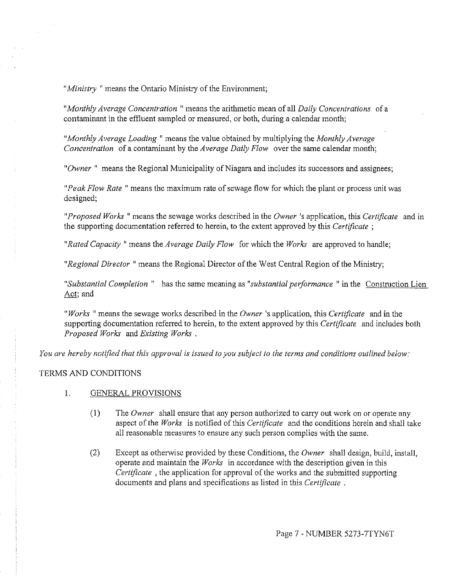*"Ministry* " means the Ontario Ministry of the Environment;

*"Monthly Average Concentration* " means the arithmetic mean of all *Daily Concentrations* of a contaminant in the effluent sampled or measured, or both, during a calendar month;

*"Monthly Average Loading* " means the value obtained by multiplying the *Monthly Average Concentration* of a contaminant by the *Average Daily Flow* over the same calendar month;

"Owner" means the Regional Municipality of Niagara and includes its successors and assignees;

*"Peak Flow Rate* "means the maximum rate of sewage flow for which the plant or process unit was designed;

*"Proposed Works* " means the sewage works described in the *Owner* 's application, this *Certificate* and in the supporting documentation referred to herein, to the extent approved by this *Certificate* ;

*"Rated Capacity* " means the *Average Daily Flow* for which the *Works* are approved to handle;

*"Regional Director* "means the Regional Director of the West Central Region of the Ministry;

*"Substantial Completion* " has the same meaning as *"substantial performance* " in the Construction Lien Act; and

*"Works* "means the sewage works described in the *Owner* 's application, this *Certificate* and in the supporting docnmentation referred to herein, to the extent approved by this *Certificate* and includes both *Proposed Works* and *Existing Works* .

*You are hereby notified that this approval is issued to you subject to the terms and conditions outlined below:* 

### TERMS AND CONDITIONS

- 1. GENERAL PROVISIONS
	- (I) The *Owner* shall ensure that any person authorized to carry out work on or operate any aspect of the *Works* is notified of this *Certificate* and the conditions herein and shall take all reasonable measures to ensure any such person complies with the same.
	- (2) Except as otherwise provided by these Conditions, the *Owner* shall design, build, install, operate and maintain the *Works* in accordance with the description given in this *Certificate* , the application for approval of the works and the submitted supporting documents and plans and specifications as listed in this *Certificate* .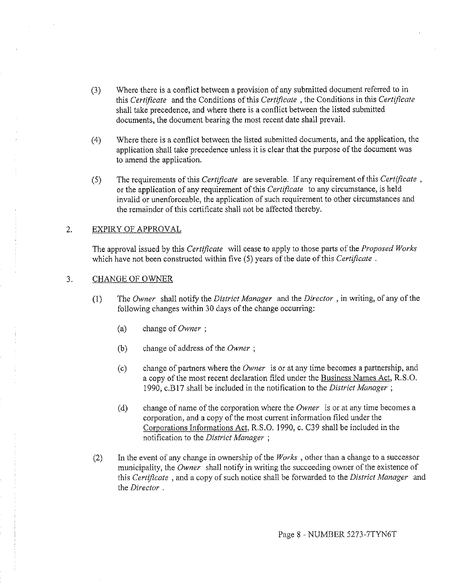- (3) Where there is a conflict between a provision of any submitted document referred to in this *Certificate* and the Conditions of this *Certificate* , the Conditions in this *Certificate*  shall take precedence, and where there is a conflict between the listed submitted documents, the document bearing the most recent date shall prevail.
- (4) Where there is a conflict between the listed submitted documents, and the application, the application shall take precedence unless it is clear that the purpose of the document was to amend the application.
- (5) The requirements of this *Certificate* are severable. If any requirement of this *Certificate* , or the application of any requirement of this *Certificate* to any circumstance, is held invalid or unenforceable, the application of such requirement to other circumstances and the remainder of this certificate shall not be affected thereby.

### 2. EXPIRY OF APPROVAL

The approval issued by this *Certificate* will cease to apply to those parts of the *Proposed Works*  which have not been constructed within five (5) years of the date of this *Certificate* .

#### 3. CHANGE OF OWNER

- (I) The *Owner* shall notify the *District Manager* and the *Director,* in writing, of any of the following changes within 30 days of the change occurring:
	- (a) change of *Owner* ;
	- (b) change of address of the *Owner* ;
	- (c) change of partners where the *Owner* is or at any time becomes a partnership, and a copy of the most recent declaration filed under the Business Names Act, R.S.0. 1990, c.B 17 shall be included in the notification to the *District Manager* ;
	- (d) change of name of the corporation where the *Owner* is or at any time becomes a corporation, and a copy of the most current information filed under the Corporations Informations Act, R.S.O. 1990, c. C39 shall be included in the notification to the *District Manager* ;
- (2) In the event of any change in ownership of the *Works* , other than a change to a successor municipality, the *Owner* shall notify in writing the succeeding owner of the existence of this *Certificate* , and a copy of such notice shall be forwarded to the *District Manager* and the *Director* .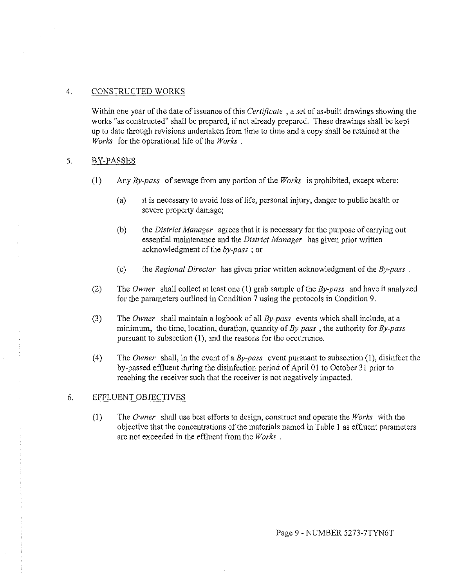### 4. CONSTRUCTED WORKS

Within one year of the date of issuance of this *Certificate* , a set of as-built drawings showing the works "as constructed" shall be prepared, if not already prepared. These drawings shall be kept up to date through revisions undertaken from time to time and a copy shall be retained at the *Works*  for the operational life of the *Works* .

### 5. BY-PASSES

- (I) Any *By-pass* of sewage from any portion of the *Works* is prohibited, except where:
	- (a) it is necessary to avoid loss of life, personal injury, danger to public health or severe property damage;
	- (b) the *District Manager* agrees that it is necessary for the purpose of carrying out essential maintenance and the *District Manager* has given prior written acknowledgment of the *by-pass* ; or
	- (c) the *Regional Director* has given prior written acknowledgment of the *By-pass* .
- (2) The *Owner* shall collect at least one (1) grab sample of the *By-pass* and have it analyzed for the parameters outlined in Condition 7 using the protocols in Condition 9.
- (3) The *Owner* shall maintain a logbook of all *By-pass* events which shall include, at a minimum, the time, location, duration, quantity of *By-pass* , the authority for *By-pass*  pursuant to subsection (I), and the reasons for the occurrence.
- (4) The *Owner* shall, in the event of a *By-pass* event pursuant to subsection (1), disinfect the by-passed effluent during the disinfection period of April 01 to October 31 prior to reaching the receiver such that the receiver is not negatively impacted.

### 6. EFFLUENT OBJECTIVES

(I) The *Owner* shall use best efforts to design, construct and operate the *Works* with the objective that the concentrations of the materials named in Table I as effluent parameters are not exceeded in the effluent from the *Works* .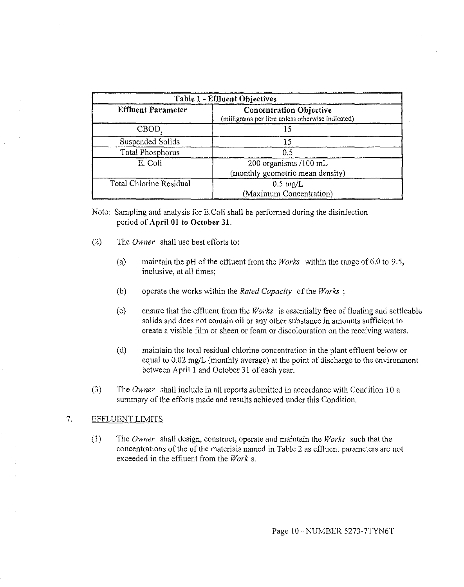| Table 1 - Effluent Objectives |                                                                                     |  |  |
|-------------------------------|-------------------------------------------------------------------------------------|--|--|
| <b>Effluent Parameter</b>     | <b>Concentration Objective</b><br>(milligrams per litre unless otherwise indicated) |  |  |
| <b>CBOD</b>                   |                                                                                     |  |  |
| Suspended Solids              |                                                                                     |  |  |
| Total Phosphorus              | 0.5                                                                                 |  |  |
| E. Coli                       | 200 organisms /100 mL<br>(monthly geometric mean density)                           |  |  |
| Total Chlorine Residual       | $0.5 \text{ mg/L}$<br>(Maximum Concentration)                                       |  |  |

Note: Sampling and analysis for E.Coli shall be performed during the disinfection period of **April 01 to October 31.** 

- (2) The *Owner* shall use best efforts to:
	- (a) maintain the pH of the effluent from the *Works* within the range of 6.0 to 9.5, inclusive, at all times;
	- (b) operate the works within the *Rated Capacity* of the *Works* ;
	- (c) ensure that the effluent from the *Works* is essentially free of floating and settleable solids and does not contain oil or any other substance in amounts sufficient to create a visible film or sheen or foam or discolouration on the receiving waters.
	- (d) maintain the total residual chlorine concentration in the plant effluent below or equal to 0.02 mg/L (monthly average) at the point of discharge to the environment between April 1 and October 31 of each year.
- (3) The *Owner* shall include in all reports submitted in accordance with Condition 10 a summary of the efforts made and results achieved under this Condition.

### 7. EFFLUENT LIMITS

(1) The *Owner* shall design, construct, operate and maintain the *Works* such that the concentrations of the of the materials named in Table 2 as effluent parameters are not exceeded in the effluent from the *Work* s.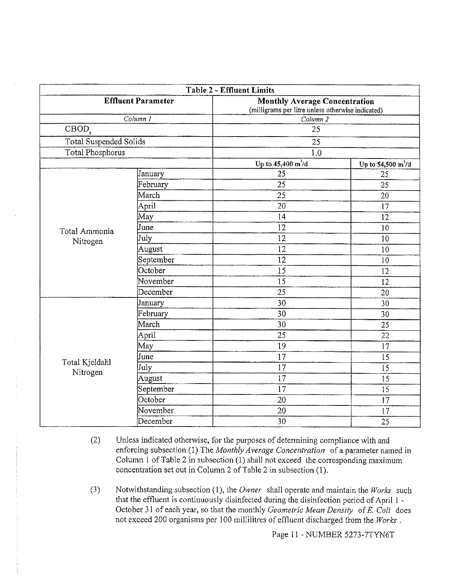| Table 2 - Effluent Limits     |                        |                                                                                           |                                     |  |  |
|-------------------------------|------------------------|-------------------------------------------------------------------------------------------|-------------------------------------|--|--|
| <b>Effluent Parameter</b>     |                        | <b>Monthly Average Concentration</b><br>(milligrams per litre unless otherwise indicated) |                                     |  |  |
|                               | $\overline{Column\ I}$ | Column 2                                                                                  |                                     |  |  |
| $\overline{\text{CBOD}}_s$    |                        | 25                                                                                        |                                     |  |  |
| <b>Total Suspended Solids</b> |                        | 25                                                                                        |                                     |  |  |
| <b>Total Phosphorus</b>       |                        | 1.0                                                                                       |                                     |  |  |
|                               |                        | Up to $45,400 \text{ m}^3/\text{d}$                                                       | Up to $54,500 \text{ m}^3/\text{d}$ |  |  |
|                               | January                | 25                                                                                        | 25                                  |  |  |
|                               | February               | 25                                                                                        | 25                                  |  |  |
|                               | March                  | 25                                                                                        | 20                                  |  |  |
|                               | April                  | 20                                                                                        | 17                                  |  |  |
|                               | May                    | 14                                                                                        | 12                                  |  |  |
| Total Ammonia                 | June                   | 12                                                                                        | 10                                  |  |  |
| Nitrogen                      | July                   | 12                                                                                        | 10                                  |  |  |
|                               | August                 | 12                                                                                        | 10                                  |  |  |
|                               | September              | $\overline{12}$                                                                           | 10                                  |  |  |
|                               | October                | 15                                                                                        | 12                                  |  |  |
|                               | November               | 15                                                                                        | 12                                  |  |  |
|                               | December               | 25                                                                                        | 20                                  |  |  |
|                               | January                | 30                                                                                        | 30                                  |  |  |
|                               | February               | 30                                                                                        | 30                                  |  |  |
|                               | March                  | 30                                                                                        | 25                                  |  |  |
|                               | April                  | 25                                                                                        | 22                                  |  |  |
|                               | May                    | 19                                                                                        | 17                                  |  |  |
|                               | June                   | 17                                                                                        | 15                                  |  |  |
| Total Kjeldahl                | July                   | 17                                                                                        | 15                                  |  |  |
| Nitrogen                      | August                 | $\overline{17}$                                                                           | 15                                  |  |  |
|                               | September              | 17                                                                                        | 15                                  |  |  |
|                               | October                | 20                                                                                        | 17                                  |  |  |
|                               | November               | 20                                                                                        | 17                                  |  |  |
|                               | December               | 30                                                                                        | 25                                  |  |  |

- (2) Unless indicated otherwise, for the purposes of determining compliance with and enforcing subsection (1) The *Monthly Average Concentration* of a parameter named in Column 1 of Table 2 in subsection (1) shall not exceed the corresponding maximum concentration set out in Column 2 of Table 2 in subsection (1).
- (3) Notwithstanding subsection (1 ), the *Owner* shall operate and maintain the *Works* such that the effluent is continuously disinfected during the disinfection period of April l October 31 of each year, so that the monthly *Geometric Mean Density* of E. *Coli* does not exceed 200 organisms per 100 millilitres of effluent discharged from the *Works* .

Page 11 - NUMBER 5273-7TYN6T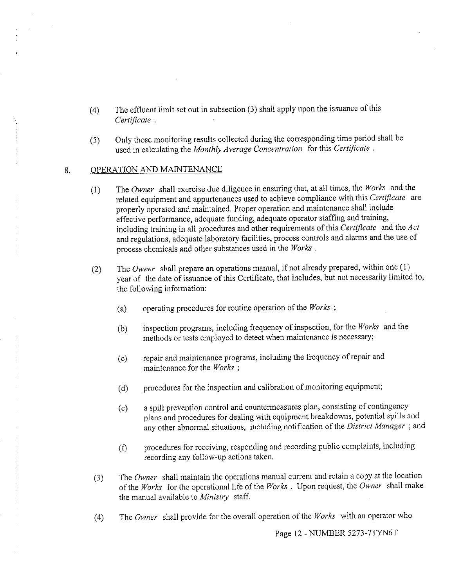- (4) The effluent limit set out in subsection (3) shall apply upon the issuance of this *Certificate* .
- (5) Only those monitoring results collected during the corresponding time period shall be used in calculating the *Monthly Average Concentration* for this *Certificate* .

#### 8. OPERATION AND MAINTENANCE

- (I) The *Owner* shall exercise due diligence in ensuring that, at all times, the *Works* and the related equipment and appurtenances used to achieve compliance with this *Certificate* are properly operated and maintained. Proper operation and maintenance shall include effective performance, adequate funding, adequate operator staffing and training, including training in all procedures and other requirements of this *Certificate* and the *Act*  and regulations, adequate laboratory facilities, process controls and alarms and the use of process chemicals and other substances used in the *Works* .
- (2) The *Owner* shall prepare an operations manual, if not already prepared, within one (1) year of the date of issuance of this Certificate, that includes, but not necessarily limited to, the following information:
	- (a) operating procedures for routine operation of the *Works* ;
	- (b) inspection programs, including frequency of inspection, for the *Works* and the methods or tests employed to detect when maintenance is necessary;
	- (c) repair and maintenance programs, including the frequency of repair and maintenance for the *Works* ;
	- (d) procedures for the inspection and calibration of monitoring equipment;
	- (e) a spill prevention control and countermeasures plan, consisting of contingency plans and procedures for dealing with equipment breakdowns, potential spills and any other abnormal situations, including notification of the *District Manager* ; and
	- (f) procedures for receiving, responding and recording public complaints, including recording any follow-up actions taken.
- (3) The *Owner* shall maintain the operations manual current and retain a copy at the location of the *Works* for the operational life of the *Works* . Upon request, the *Owner* shall make the manual available to *Ministry* staff.
- (4) The *Owner* shall provide for the overall operation of the *Works* with an operator who

Page 12 - NUMBER 5273-7TYN6T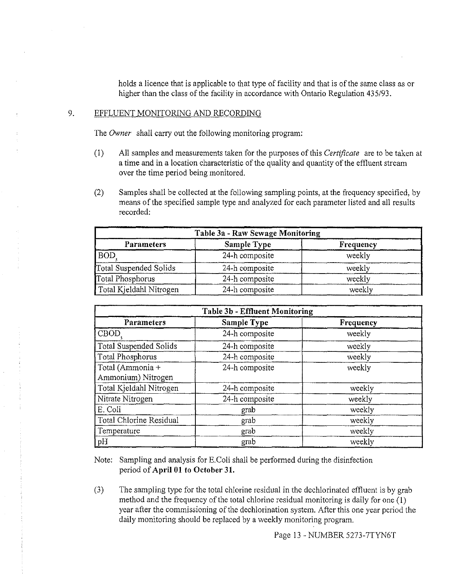holds a licence that is applicable to that type of facility and that is of the same class as or higher than the class of the facility in accordance with Ontario Regulation 435/93.

### 9. EFFLUENT MONITORING AND RECORDING

The *Owner* shall carry out the following monitoring program:

- (1) All samples and measurements taken for the purposes of this *Certificate* are to be taken at a time and in a location characteristic of the quality and quantity of the effluent stream over the time period being monitored.
- (2) Samples shall be collected at the following sampling points, at the frequency specified, by means of the specified sample type and analyzed for each parameter listed and all results recorded:

| Table 3a - Raw Sewage Monitoring |                |           |  |  |
|----------------------------------|----------------|-----------|--|--|
| Parameters                       | Sample Type    | Frequency |  |  |
| <b>BOD</b>                       | 24-h composite | weekly    |  |  |
| Total Suspended Solids           | 24-h composite | weekly    |  |  |
| Total Phosphorus                 | 24-h composite | weekly    |  |  |
| Total Kjeldahl Nitrogen          | 24-h composite | weekly    |  |  |

| <b>Table 3b - Effluent Monitoring</b>  |                |           |  |  |
|----------------------------------------|----------------|-----------|--|--|
| Parameters                             | Sample Type    | Frequency |  |  |
| CBOD <sub>c</sub>                      | 24-h composite | weekly    |  |  |
| <b>Total Suspended Solids</b>          | 24-h composite | weekly    |  |  |
| Total Phosphorus                       | 24-h composite | weekly    |  |  |
| Total (Ammonia +<br>Ammonium) Nitrogen | 24-h composite | weekly    |  |  |
| Total Kjeldahl Nitrogen                | 24-h composite | weekly    |  |  |
| Nitrate Nitrogen                       | 24-h composite | weekly    |  |  |
| E. Coli                                | grab           | weekly    |  |  |
| Total Chlorine Residual                | grab           | weekly    |  |  |
| Temperature                            | grab           | weekly    |  |  |
| pH                                     | grab           | weekly    |  |  |

Note: Sampling and analysis for E.Coli shall be performed during the disinfection period of **April 01 to October 31.** 

(3) The sampling type for the total chlorine residual in the dechlorinated effluent is by grab method and the frequency of the total chlorine residual monitoring is daily for one **(I)**  year after the commissioning of the dechlorination system. After this one year period the daily monitoring should be replaced by a weekly monitoring program.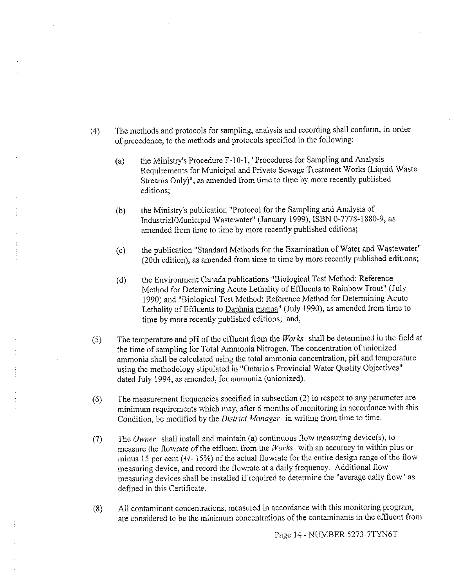- (4) The methods and protocols for sampling, analysis and recording shall conform, in order of precedence, to the methods and protocols specified in the following:
	- (a) the Ministry's Procedure F-10-1, "Procedures for Sampling and Analysis Requirements for Municipal and Private Sewage Treatment Works (Liquid Waste Streams Only)", as amended from time to time by more recently published editions;
	- (b) the Ministry's publication "Protocol for the Sampling and Analysis of Industrial/Municipal Wastewater" (January 1999), ISBN 0-7778-1880-9, as amended from time to time by more recently published editions;
	- (c) the publication "Standard Methods for the Examination of Water and Wastewater" (20th edition), as amended from time to time by more recently published editions;
	- (d) the Environment Canada publications "Biological Test Method: Reference Method for Determining Acute Lethality of Effluents to Rainbow Trout" (July 1990) and "Biological Test Method: Reference Method for Determining Acute Lethality of Effluents to Daphnia magna" ( July 1990), as amended from time to time by more recently published editions; and,
- (5) The temperature and pH of the effluent from the *Works* shall be determined in the field at the time of sampling for Total Ammonia Nitrogen. The concentration of unionized ammonia shall be calculated using the total ammonia concentration, pH and temperature using the methodology stipulated in "Ontario's Provincial Water Quality Objectives" dated July 1994, as amended, for ammonia (unionized).
- (6) The measurement frequencies specified in subsection  $(2)$  in respect to any parameter are minimum requirements which may, after 6 months of monitoring in accordance with this Condition, be modified by the *District Manager* in writing from time to time.
- (7) The *Owner* shall install and maintain (a) continuous flow measuring device(s), to measure the flowrate of the effluent from the *Works* with an accuracy to within plus or minus 15 per cent  $(+/- 15%)$  of the actual flowrate for the entire design range of the flow measuring device, and record the flowrate at a daily frequency. Additional flow measuring devices shall be installed if required to determine the "average daily flow" as defined in this Certificate.
- (8) All contaminant concentrations, measured in accordance with this monitoring program, are considered to be the minimum concentrations of the contaminants in the effluent from

Page 14 - NUMBER 5273-7TYN6T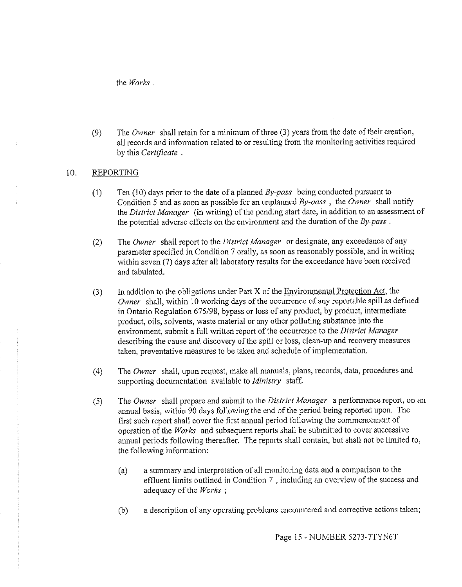the *Works* .

(9) The *Owner* shall retain for a minimum of three (3) years from the date of their creation, all records and information related to or resulting from the monitoring activities required by this *Certificate* .

### 10. REPORTING

- (I) Ten (10) days prior to the date of a planned *By-pass* being conducted pursuant to Condition 5 and as soon as possible for an unplanned *By-pass* , the *Owner* shall notify the *District Manager* (in writing) of the pending start date, in addition to an assessment of the potential adverse effects on the environment and the duration of the *By-pass* .
- (2) The *Owner* shall report to the *District Manager* or designate, any exceedance of any parameter specified in Condition 7 orally, as soon as reasonably possible, and in writing within seven (7) days after all laboratory results for the exceedance have been received and tabulated.
- $(3)$  In addition to the obligations under Part X of the Environmental Protection Act, the *Owner* shall, within 10 working days of the occurrence of any reportable spill as defined in Ontario Regulation 675/98, bypass or loss of any product, by product, intermediate product, oils, solvents, waste material or any other polluting substance into the environment, submit a full written report of the occurrence to the *District Manager*  describing the cause and discovery of the spill or loss, clean-up and recovery measures taken, preventative measures to be taken and schedule of implementation.
- (4) The *Owner* shall, upon request, make all manuals, plans, records, data, procedures and supporting documentation available to *Ministry* staff.
- (5) The *Owner* shall prepare and submit to the *District Manager* a performance report, on an annual basis, within 90 days following the end of the period being reported upon. The first such report shall cover the first annual period following the commencement of operation of the *Works* and subsequent reports shall be submitted to cover successive annual periods following thereafter. The reports shall contain, but shall not be limited to, the following information:
	- (a) a summary and interpretation of all monitoring data and a comparison to the effluent limits outlined in Condition 7 , including an overview of the success and adequacy of the *Works* ;
	- (b) a description of any operating problems encountered and corrective actions taken;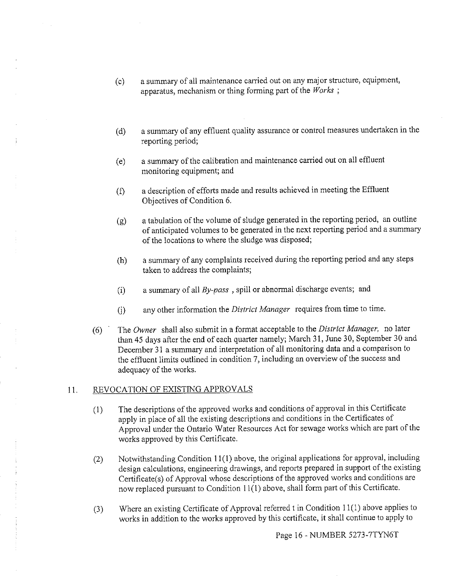- (c) a summary of all maintenance carried out on any major structure, equipment, apparatus, mechanism or thing forming part of the *Works* ;
- (d) a summary of any effluent quality assurance or control measures undertaken in the reporting period;
- (e) a summary of the calibration and maintenance carried out on all effluent monitoring equipment; and
- (f) a description of efforts made and results achieved in meeting the Effluent Objectives of Condition 6.
- (g) a tabulation of the volume of sludge generated in the reporting period, an outline of anticipated volumes to be generated in the next reporting period and a summary of the locations to where the sludge was disposed;
- (h) a summary of any complaints received during the reporting period and any steps taken to address the complaints;
- (i) a summary of all *By-pass* , spill or abnormal discharge events; and
- (j) any other information the *District Manager* requires from time to time.
- (6) The *Owner* shall also submit in a format acceptable to the *District Manager,* no later than 45 days after the end of each quarter namely; March 31, June 30, September 30 and December 31 a summary and interpretation of all monitoring data and a comparison to the effluent limits outlined in condition 7, including an overview of the success and adequacy of the works.

### 11. REVOCATION OF EXISTING APPROVALS

- (I) The descriptions of the approved works and conditions of approval in this Certificate apply in place of all the existing descriptions and conditions in the Certificates of Approval under the Ontario Water Resources Act for sewage works which are part of the works approved by this Certificate.
- (2) Notwithstanding Condition  $11(1)$  above, the original applications for approval, including design calculations, engineering drawings, and reports prepared in support of the existing Certificate(s) of Approval whose descriptions of the approved works and conditions are now replaced pursuant to Condition I 1(1) above, shall form part of this Certificate.
- (3) Where an existing Certificate of Approval referred t in Condition 11(1) above applies to works in addition to the works approved by this certificate, it shall continue to apply to

Page 16 - NUMBER 5273-7TYN6T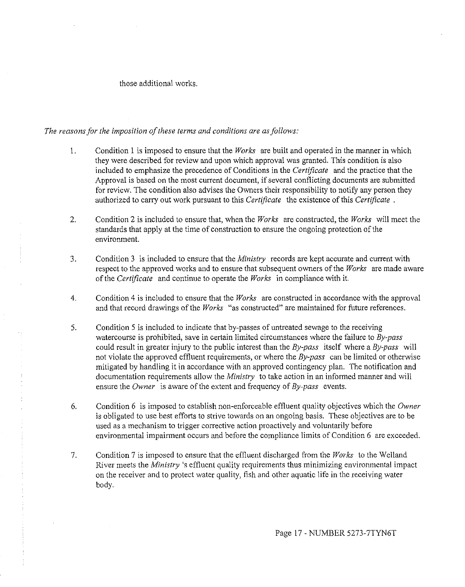#### those additional works.

#### The reasons for the imposition of these terms and conditions are as follows:

- 1. Condition l is imposed to ensure that the *Works* are built and operated in the manner in which they were described for review and upon which approval was granted. This condition is also included to emphasize the precedence of Conditions in the *Certificate* and the practice that the Approval is based on the most current document, if several conflicting documents are submitted for review. The condition also advises the Owners their responsibility to notify any person they authorized to carry out work pursuant to this *Certificate* the existence of this *Certificate* .
- 2. Condition 2 is included to ensure that, when the *Works* are constructed, the *Works* will meet the standards that apply at the time of construction to ensure the ongoing protection of the environment.
- 3. Condition 3 is included to ensure that the *Ministry* records are kept accurate and current with respect to the approved works and to ensure that subsequent owners ofthe *Works* are made aware of the *Certificate* and continue to operate the *Works* in compliance with it.
- 4. Condition 4 is included to ensure that the *Works* are constructed in accordance with the approval and that record drawings of the *Works* "as constructed" are maintained for future references.
- 5. Condition 5 is included to indicate that by-passes of untreated sewage to the receiving watercourse is prohibited, save in certain limited circumstances where the failure to *By-pass*  could result in greater injury to the public interest than the *By-pass* itself where a *By-pass* will not violate the approved effluent requirements, or where the *By-pass* can be limited or otherwise mitigated by handling it in accordance with an approved contingency plan. The notification and documentation requirements allow the *Ministry* to take action in an informed manner and will ensure the *Owner* is aware of the extent and frequency of *By-pass* events.
- 6. Condition 6 is imposed to establish non-enforceable effluent quality objectives which the *Owner*  is obligated to use best efforts to strive towards on an ongoing basis. These objectives are to be used as a mechanism to trigger corrective action proactively and voluntarily before environmental impairment occurs and before the compliance limits of Condition 6 are exceeded.
- 7. Condition 7 is imposed to ensure that the effluent discharged from the *Works* to the Welland River meets the *Ministry* 's effluent quality requirements thus minimizing environmental impact on the receiver and to protect water quality, fish and other aquatic life in the receiving water body.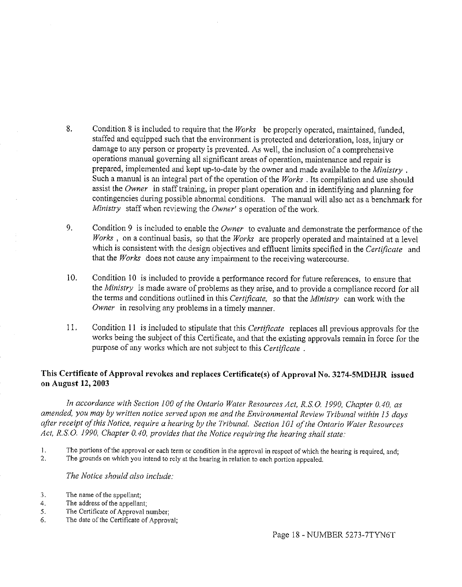- 8. Condition 8 is included to require that the *Works* be properly operated, maintained, funded, staffed and equipped such that the environment is protected and deterioration, loss, injury or damage to any person or property is prevented. As well, the inclusion of a comprehensive operations manual governing all significant areas of operation, maintenance and repair is prepared, implemented and kept up-to-date by the owner and made available to the *Ministry* . Such a manual is an integral part of the operation of the *Works* . Its compilation and use should assist the *Owner* in staff training, in proper plant operation and in identifying and planning for contingencies during possible abnormal conditions. The manual will also act as a benchmark for *Ministry* staff when reviewing the *Owner'* s operation of the work.
- 9. Condition 9 is included to enable the *Owner* to evaluate and demonstrate the performance of the *Works* , on a continual basis, so that the *Works* are properly operated and maintained at a level which is consistent with the design objectives and effluent limits specified in the *Certificate* and that the *Works* does not cause any impairment to the receiving watercourse.
- 10. Condition 10 is included to provide a performance record for future references, to ensure that the *Ministry* is made aware of problems as they arise, and to provide a compliance record for all the terms and conditions outlined in this *Certificate,* so that the *Ministry* can work with the *Owner* in resolving any problems in a timely manner.
- 11. Condition **11** is included to stipulate that this *Certificate* replaces all previous approvals for the works being the subject of this Certificate, and that the existing approvals remain in force for the purpose of any works which are not subject to this *Certificate* .

# **This Certificate of Approval revokes and replaces Certificate(s) of Approval No. 3274-SMDHJR issued on August 12, 2003**

*In accordance with Section 100 ofthe Ontario Water Resources Act, R.8.0. 1990, Chapter 0.40, as amended, you may by written notice served upon me and the Environmental Review Tribunal within 15 days after receipt ofthis Notice, require a hearing by the Tribunal. Section 101 ofthe Ontario Water Resources Act, R.8.0. 1990, Chapter 0.40, provides that the Notice requiring the hearing shall state:* 

- **I.** The portions of the approval or each term or condition in the approval in respect of which the hearing is required, and; <br> **2.** The grounds on which you intend to rely at the hearing in relation to each nortion appeal
- The grounds on which you intend to rely at the hearing in relation to each portion appealed.

### *The Notice should also include:*

- 3. The name of the appellant;
- 4. The address of the appellant;
- 5. The Certificate of Approval number;
- 6. The date of the Certificate of Approval;